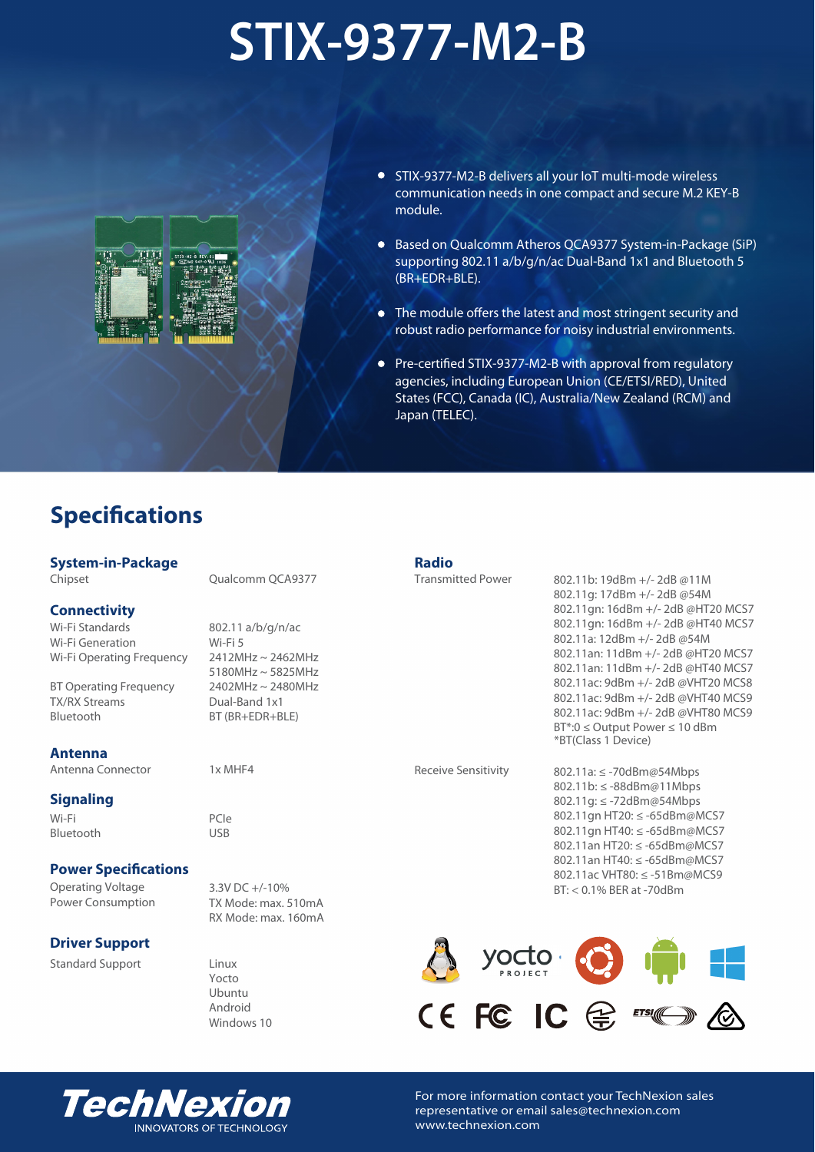# **STIX-9377-M2-B**



- STIX-9377-M2-B delivers all your IoT multi-mode wireless communication needs in one compact and secure M.2 KEY-B module.
- Based on Qualcomm Atheros QCA9377 System-in-Package (SiP) supporting 802.11 a/b/g/n/ac Dual-Band 1x1 and Bluetooth 5 (BR+EDR+BLE).
- The module offers the latest and most stringent security and robust radio performance for noisy industrial environments.
- Pre-certified STIX-9377-M2-B with approval from regulatory agencies, including European Union (CE/ETSI/RED), United States (FCC), Canada (IC), Australia/New Zealand (RCM) and Japan (TELEC).

# **Specifications**

# **System-in-Package**

Chipset

#### **Connectivity**

Wi-Fi Standards Wi-Fi Generation Wi-Fi Operating Frequency

BT Operating Frequency TX/RX Streams Bluetooth

#### **Antenna**

Antenna Connector

# **Signaling**

Wi-Fi Bluetooth

# **Power Specifications**

Operating Voltage Power Consumption

# **Driver Support**

Standard Support

Qualcomm QCA9377

802.11 a/b/g/n/ac Wi-Fi 5 2412MHz ~ 2462MHz 5180MHz ~ 5825MHz 2402MHz ~ 2480MHz Dual-Band 1x1 BT (BR+EDR+BLE)

1x MHF4

PCIe USB

3.3V DC +/-10% BT: < 0.1% BER at -70dBm TX Mode: max. 510mA RX Mode: max. 160mA

Linux Yocto Ubuntu Android Windows 10

#### **Radio**

Transmitted Power

802.11b: 19dBm +/- 2dB @11M 802.11g: 17dBm +/- 2dB @54M 802.11gn: 16dBm +/- 2dB @HT20 MCS7 802.11gn: 16dBm +/- 2dB @HT40 MCS7 802.11a: 12dBm +/- 2dB @54M 802.11an: 11dBm +/- 2dB @HT20 MCS7 802.11an: 11dBm +/- 2dB @HT40 MCS7 802.11ac: 9dBm +/- 2dB @VHT20 MCS8 802.11ac: 9dBm +/- 2dB @VHT40 MCS9 802.11ac: 9dBm +/- 2dB @VHT80 MCS9 BT\*:0 ≤ Output Power ≤ 10 dBm \*BT(Class 1 Device)

Receive Sensitivity

802.11a: ≤ -70dBm@54Mbps 802.11b: ≤ -88dBm@11Mbps 802.11g: ≤ -72dBm@54Mbps 802.11gn HT20: ≤ -65dBm@MCS7 802.11gn HT40: ≤ -65dBm@MCS7 802.11an HT20: ≤ -65dBm@MCS7 802.11an HT40: ≤ -65dBm@MCS7 802.11ac VHT80: ≤ -51Bm@MCS9





For more information contact your TechNexion sales representative or email sales@technexion.com www.technexion.com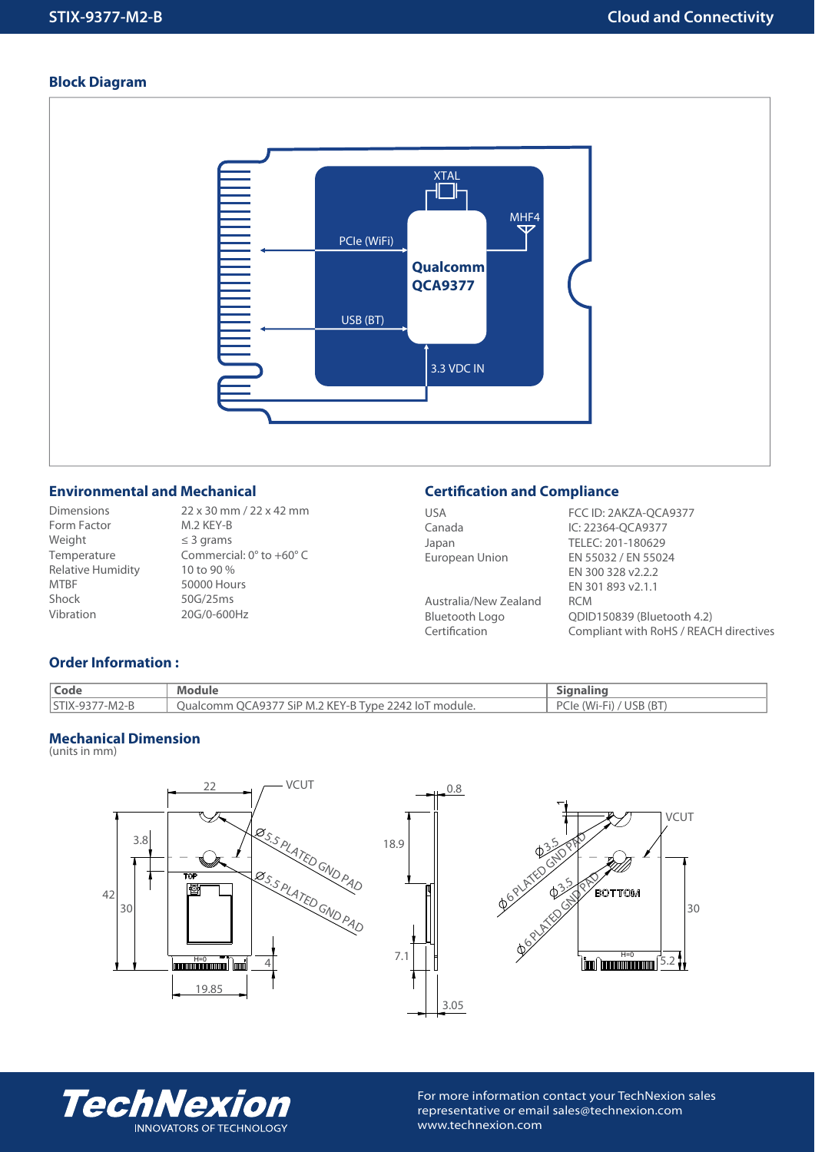# **Block Diagram**



# **Environmental and Mechanical**

Dimensions Form Factor Weight Temperature Relative Humidity MTBF Shock Vibration

22 x 30 mm / 22 x 42 mm M.2 KEY-B ≤ 3 grams Commercial: 0° to +60° C 10 to 90 % 50000 Hours 50G/25ms 20G/0-600Hz

# **Certification and Compliance**

| <b>USA</b>            | FCC ID: 2AKZA-OCA9377                  |
|-----------------------|----------------------------------------|
| Canada                | IC: 22364-OCA9377                      |
| Japan                 | TELEC: 201-180629                      |
| European Union        | EN 55032 / EN 55024                    |
|                       | EN 300 328 v2.2.2                      |
|                       | EN 301 893 v2.1.1                      |
| Australia/New Zealand | <b>RCM</b>                             |
| Bluetooth Logo        | QDID150839 (Bluetooth 4.2)             |
| Certification         | Compliant with RoHS / REACH directives |
|                       |                                        |

# **Order Information :**

| Code                   | Module                                                    |                                        |
|------------------------|-----------------------------------------------------------|----------------------------------------|
| <b>ISTIX-9377-M2-B</b> | QCA9377 SiP M.2 KEY-B Type 2242 IoT module.<br>Jualcomm ( | 'USB (BT<br>DC<br>$'$ $M1-F1$ .<br>Cie |

### **Mechanical Dimension**

(units in mm)







For more information contact your TechNexion sales representative or email sales@technexion.com www.technexion.com